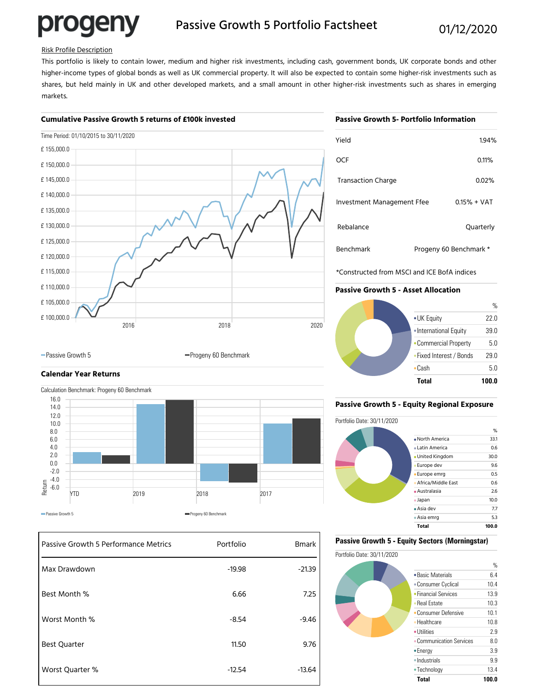# progeny

### Passive Growth 5 Portfolio Factsheet 01/12/2020

#### Risk Profile Description

This portfolio is likely to contain lower, medium and higher risk investments, including cash, government bonds, UK corporate bonds and other higher-income types of global bonds as well as UK commercial property. It will also be expected to contain some higher-risk investments such as shares, but held mainly in UK and other developed markets, and a small amount in other higher-risk investments such as shares in emerging markets.

#### **Cumulative Passive Growth 5 returns of £100k invested**

#### **Passive Growth 5- Portfolio Information**

| Time Period: 01/10/2015 to 30/11/2020 |      |      |
|---------------------------------------|------|------|
| £155,000.0                            |      |      |
| £150,000.0                            |      |      |
| £145,000.0                            |      |      |
| £140,000.0                            |      |      |
| £135,000.0                            |      |      |
| £130,000.0                            |      |      |
| £125,000.0                            |      |      |
| £120,000.0                            |      |      |
| £115,000.0                            |      |      |
| £110,000.0                            |      |      |
| £105,000.0                            |      |      |
| £100,000.0<br>2016                    | 2018 | 2020 |
|                                       |      |      |

| Yield                      |                        | 1.94%         |
|----------------------------|------------------------|---------------|
| <b>OCF</b>                 |                        | 0.11%         |
| <b>Transaction Charge</b>  |                        | 0.02%         |
| Investment Management Ffee |                        | $0.15% + VAT$ |
| Rebalance                  |                        | Quarterly     |
| <b>Benchmark</b>           | Progeny 60 Benchmark * |               |

\*Constructed from MSCI and ICE BofA indices

#### **Passive Growth 5 - Asset Allocation**



## **Calendar Year Returns**



-Passive Growth 5 Progeny 60 Benchmark

| Passive Growth 5 Performance Metrics | Portfolio | <b>Bmark</b> |
|--------------------------------------|-----------|--------------|
| Max Drawdown                         | $-19.98$  | $-21.39$     |
| Best Month %                         | 6.66      | 7.25         |
| Worst Month %                        | $-8.54$   | $-9.46$      |
| <b>Best Quarter</b>                  | 11.50     | 9.76         |
| Worst Quarter %                      | $-12.54$  | $-13.64$     |

#### **Passive Growth 5 - Equity Regional Exposure**



#### **Passive Growth 5 - Equity Sectors (Morningstar)**